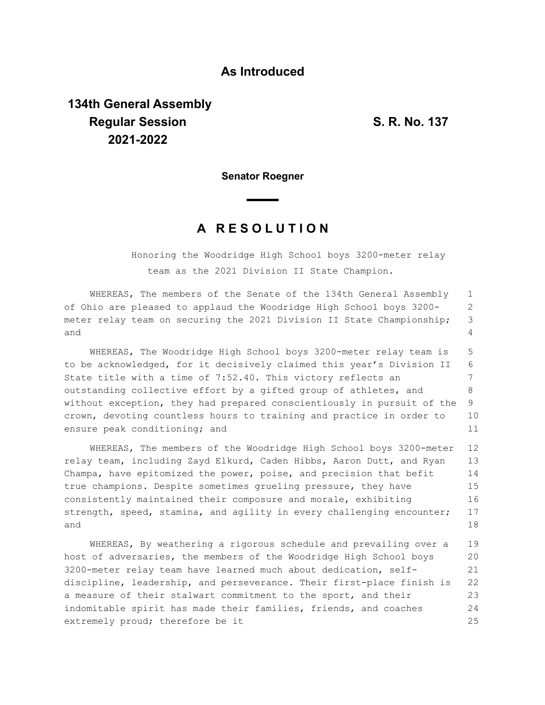## **As Introduced**

## **134th General Assembly Regular Session S. R. No. 137 2021-2022**

**Senator Roegner**

## **A R E S O L U T I O N**

Honoring the Woodridge High School boys 3200-meter relay team as the 2021 Division II State Champion.

WHEREAS, The members of the Senate of the 134th General Assembly of Ohio are pleased to applaud the Woodridge High School boys 3200 meter relay team on securing the 2021 Division II State Championship; and 1 2 3  $\Delta$ 

WHEREAS, The Woodridge High School boys 3200-meter relay team is to be acknowledged, for it decisively claimed this year's Division II State title with a time of 7:52.40. This victory reflects an outstanding collective effort by a gifted group of athletes, and without exception, they had prepared conscientiously in pursuit of the crown, devoting countless hours to training and practice in order to ensure peak conditioning; and 5 6 7 8 9 10 11

WHEREAS, The members of the Woodridge High School boys 3200-meter relay team, including Zayd Elkurd, Caden Hibbs, Aaron Dutt, and Ryan Champa, have epitomized the power, poise, and precision that befit true champions. Despite sometimes grueling pressure, they have consistently maintained their composure and morale, exhibiting strength, speed, stamina, and agility in every challenging encounter; and 12 13 14 15 16 17 18

WHEREAS, By weathering a rigorous schedule and prevailing over a host of adversaries, the members of the Woodridge High School boys 3200-meter relay team have learned much about dedication, selfdiscipline, leadership, and perseverance. Their first-place finish is a measure of their stalwart commitment to the sport, and their indomitable spirit has made their families, friends, and coaches extremely proud; therefore be it 19 20 21 22 23 24 25